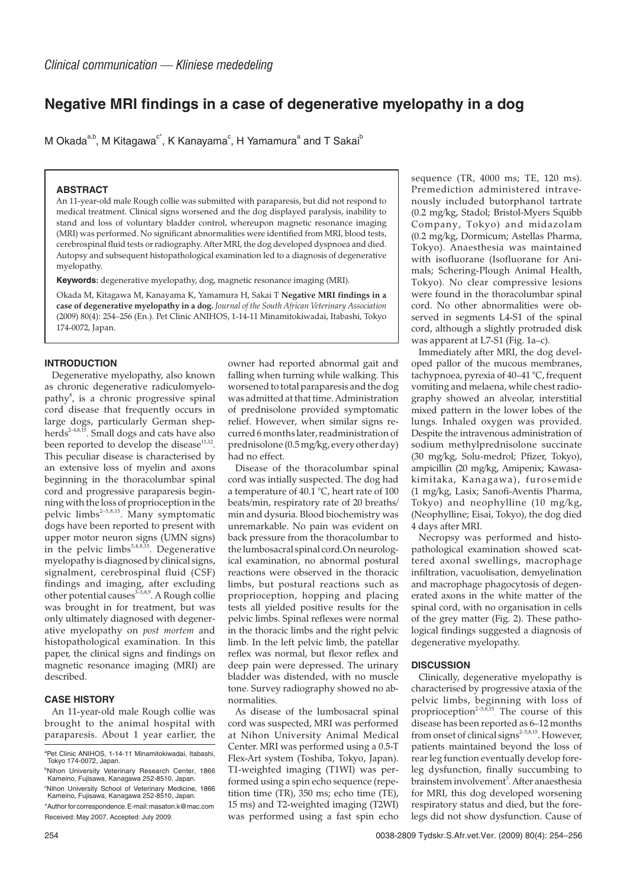# **Negative MRI findings in a case of degenerative myelopathy in a dog**

M Okada<sup>a,b</sup>, M Kitagawa<sup>c\*</sup>, K Kanayama<sup>c</sup>, H Yamamura<sup>a</sup> and T Sakai<sup>b</sup>

## **ABSTRACT**

An 11-year-old male Rough collie was submitted with paraparesis, but did not respond to medical treatment. Clinical signs worsened and the dog displayed paralysis, inability to stand and loss of voluntary bladder control, whereupon magnetic resonance imaging (MRI) was performed. No significant abnormalities were identified from MRI, blood tests, cerebrospinal fluid tests or radiography. After MRI, the dog developed dyspnoea and died. Autopsy and subsequent histopathological examination led to a diagnosis of degenerative myelopathy.

**Keywords:** degenerative myelopathy, dog, magnetic resonance imaging (MRI).

Okada M, Kitagawa M, Kanayama K, Yamamura H, Sakai T **Negative MRI findings in a case of degenerative myelopathy in a dog.** *Journal of the South African Veterinary Association* (2009) 80(4): 254–256 (En.). Pet Clinic ANIHOS, 1-14-11 Minamitokiwadai, Itabashi, Tokyo 174-0072, Japan.

#### **INTRODUCTION**

Degenerative myelopathy, also known as chronic degenerative radiculomyelopathy<sup>8</sup>, is a chronic progressive spinal cord disease that frequently occurs in large dogs, particularly German shepherds<sup>2-4,8,15</sup>. Small dogs and cats have also been reported to develop the disease $11,12$ . This peculiar disease is characterised by an extensive loss of myelin and axons beginning in the thoracolumbar spinal cord and progressive paraparesis beginning with the loss of proprioception in the pelvic  $\lim_{s\to 5,8,15}$ . Many symptomatic dogs have been reported to present with upper motor neuron signs (UMN signs) in the pelvic limbs<sup>3,4,8,15</sup>. Degenerative myelopathy is diagnosed by clinical signs, signalment, cerebrospinal fluid (CSF) findings and imaging, after excluding other potential causes<sup> $3-5,8,9$ </sup>. A Rough collie was brought in for treatment, but was only ultimately diagnosed with degenerative myelopathy on *post mortem* and histopathological examination. In this paper, the clinical signs and findings on magnetic resonance imaging (MRI) are described.

## **CASE HISTORY**

An 11-year-old male Rough collie was brought to the animal hospital with paraparesis. About 1 year earlier, the

owner had reported abnormal gait and falling when turning while walking. This worsened to total paraparesis and the dog was admitted at that time. Administration of prednisolone provided symptomatic relief. However, when similar signs recurred 6 months later, readministration of prednisolone (0.5 mg/kg, every other day) had no effect.

Disease of the thoracolumbar spinal cord was intially suspected. The dog had a temperature of 40.1 °C, heart rate of 100 beats/min, respiratory rate of 20 breaths/ min and dysuria. Blood biochemistry was unremarkable. No pain was evident on back pressure from the thoracolumbar to the lumbosacral spinal cord.On neurological examination, no abnormal postural reactions were observed in the thoracic limbs, but postural reactions such as proprioception, hopping and placing tests all yielded positive results for the pelvic limbs. Spinal reflexes were normal in the thoracic limbs and the right pelvic limb. In the left pelvic limb, the patellar reflex was normal, but flexor reflex and deep pain were depressed. The urinary bladder was distended, with no muscle tone. Survey radiography showed no abnormalities.

As disease of the lumbosacral spinal cord was suspected, MRI was performed at Nihon University Animal Medical Center. MRI was performed using a 0.5-T Flex-Art system (Toshiba, Tokyo, Japan). T1-weighted imaging (T1WI) was performed using a spin echo sequence (repetition time (TR), 350 ms; echo time (TE), 15 ms) and T2-weighted imaging (T2WI) was performed using a fast spin echo sequence (TR, 4000 ms; TE, 120 ms). Premediction administered intravenously included butorphanol tartrate (0.2 mg/kg, Stadol; Bristol-Myers Squibb Company, Tokyo) and midazolam (0.2 mg/kg, Dormicum; Astellas Pharma, Tokyo). Anaesthesia was maintained with isofluorane (Isofluorane for Animals; Schering-Plough Animal Health, Tokyo). No clear compressive lesions were found in the thoracolumbar spinal cord. No other abnormalities were observed in segments L4-S1 of the spinal cord, although a slightly protruded disk was apparent at L7-S1 (Fig. 1a–c).

Immediately after MRI, the dog developed pallor of the mucous membranes, tachypnoea, pyrexia of 40–41 °C, frequent vomiting and melaena, while chest radiography showed an alveolar, interstitial mixed pattern in the lower lobes of the lungs. Inhaled oxygen was provided. Despite the intravenous administration of sodium methylprednisolone succinate (30 mg/kg, Solu-medrol; Pfizer, Tokyo), ampicillin (20 mg/kg, Amipenix; Kawasakimitaka, Kanagawa), furosemide (1 mg/kg, Lasix; Sanofi-Aventis Pharma, Tokyo) and neophylline (10 mg/kg, (Neophylline; Eisai, Tokyo), the dog died 4 days after MRI.

Necropsy was performed and histopathological examination showed scattered axonal swellings, macrophage infiltration, vacuolisation, demyelination and macrophage phagocytosis of degenerated axons in the white matter of the spinal cord, with no organisation in cells of the grey matter (Fig. 2). These pathological findings suggested a diagnosis of degenerative myelopathy.

#### **DISCUSSION**

Clinically, degenerative myelopathy is characterised by progressive ataxia of the pelvic limbs, beginning with loss of proprioception<sup> $2-5,8,15$ </sup>. The course of this disease has been reported as 6–12 months from onset of clinical signs<sup>2-5,8,15</sup>. However, patients maintained beyond the loss of rear leg function eventually develop foreleg dysfunction, finally succumbing to brainstem involvement<sup>3</sup>. After anaesthesia for MRI, this dog developed worsening respiratory status and died, but the forelegs did not show dysfunction. Cause of

a Pet Clinic ANIHOS, 1-14-11 Minamitokiwadai, Itabashi, Tokyo 174-0072, Japan.

<sup>&</sup>lt;sup>b</sup>Nihon University Veterinary Research Center, 1866 Kameino, Fujisawa, Kanagawa 252-8510, Japan.

c Nihon University School of Veterinary Medicine, 1866 Kameino, Fujisawa, Kanagawa 252-8510, Japan. \*Author for correspondence.E-mail:masaton.k@mac.com Received: May 2007. Accepted: July 2009.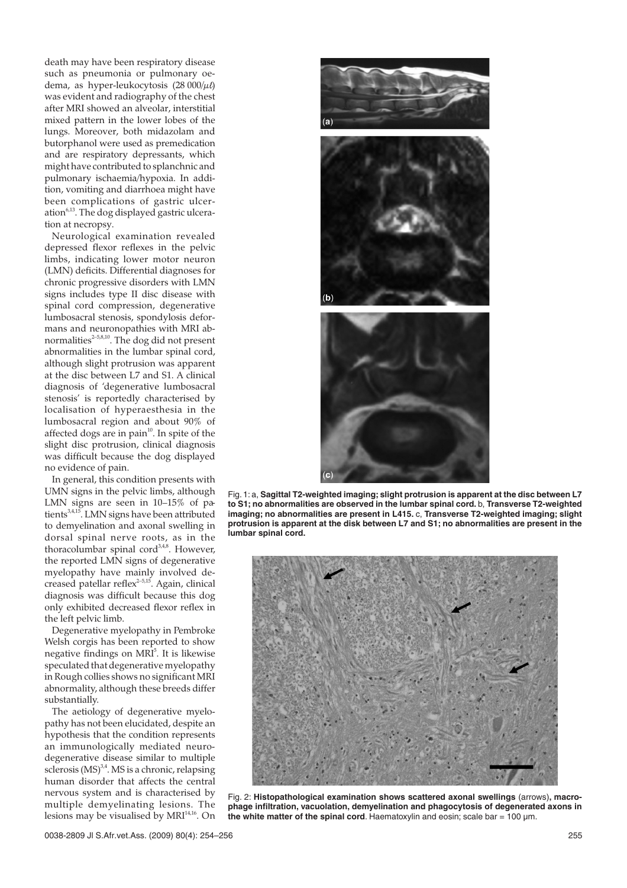death may have been respiratory disease such as pneumonia or pulmonary oedema, as hyper-leukocytosis  $(28 000/\mu)$ was evident and radiography of the chest after MRI showed an alveolar, interstitial mixed pattern in the lower lobes of the lungs. Moreover, both midazolam and butorphanol were used as premedication and are respiratory depressants, which might have contributed to splanchnic and pulmonary ischaemia/hypoxia. In addition, vomiting and diarrhoea might have been complications of gastric ulceration<sup>6,13</sup>. The dog displayed gastric ulceration at necropsy.

Neurological examination revealed depressed flexor reflexes in the pelvic limbs, indicating lower motor neuron (LMN) deficits. Differential diagnoses for chronic progressive disorders with LMN signs includes type II disc disease with spinal cord compression, degenerative lumbosacral stenosis, spondylosis deformans and neuronopathies with MRI abnormalities<sup> $2-5,8,10$ </sup>. The dog did not present abnormalities in the lumbar spinal cord, although slight protrusion was apparent at the disc between L7 and S1. A clinical diagnosis of 'degenerative lumbosacral stenosis' is reportedly characterised by localisation of hyperaesthesia in the lumbosacral region and about 90% of affected dogs are in pain $10$ . In spite of the slight disc protrusion, clinical diagnosis was difficult because the dog displayed no evidence of pain.

In general, this condition presents with UMN signs in the pelvic limbs, although LMN signs are seen in 10–15% of patients<sup>3,4,15</sup>. LMN signs have been attributed to demyelination and axonal swelling in dorsal spinal nerve roots, as in the thoracolumbar spinal cord $3,4,8$ . However, the reported LMN signs of degenerative myelopathy have mainly involved decreased patellar reflex<sup>2-5,15</sup>. Again, clinical diagnosis was difficult because this dog only exhibited decreased flexor reflex in the left pelvic limb.

Degenerative myelopathy in Pembroke Welsh corgis has been reported to show negative findings on MRI<sup>5</sup>. It is likewise speculated that degenerative myelopathy in Rough collies shows no significant MRI abnormality, although these breeds differ substantially.

The aetiology of degenerative myelopathy has not been elucidated, despite an hypothesis that the condition represents an immunologically mediated neurodegenerative disease similar to multiple sclerosis  $(MS)$ <sup>3,4</sup>. MS is a chronic, relapsing human disorder that affects the central nervous system and is characterised by multiple demyelinating lesions. The lesions may be visualised by  $MRI<sup>14,16</sup>$ . On



Fig. 1: a, **Sagittal T2-weighted imaging; slight protrusion is apparent at the disc between L7 to S1; no abnormalities are observed in the lumbar spinal cord.** b, **Transverse T2-weighted imaging; no abnormalities are present in L415.** c, **Transverse T2-weighted imaging; slight protrusion is apparent at the disk between L7 and S1; no abnormalities are present in the lumbar spinal cord.**



Fig. 2: **Histopathological examination shows scattered axonal swellings** (arrows)**, macrophage infiltration, vacuolation, demyelination and phagocytosis of degenerated axons in the white matter of the spinal cord**. Haematoxylin and eosin; scale bar = 100 µm.